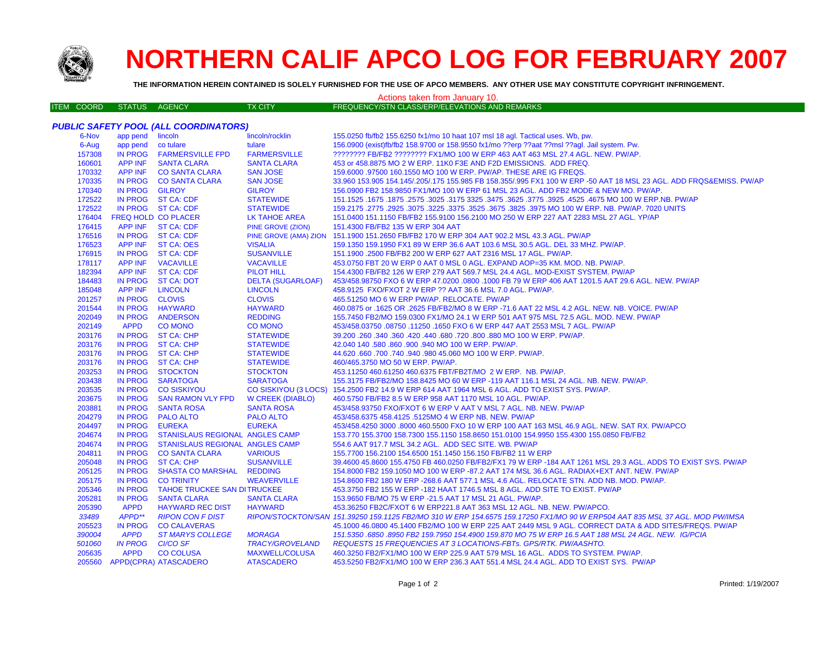

# **NORTHERN CALIF APCO LOG FOR FEBRUARY 2007**

**THE INFORMATION HEREIN CONTAINED IS SOLELY FURNISHED FOR THE USE OF APCO MEMBERS. ANY OTHER USE MAY CONSTITUTE COPYRIGHT INFRINGEMENT.**

### ITEM COORD STATUS AGENCY TX CITY FREQUENCY/STN CLASS/ERP/ELEVATIONS AND REMARKS Actions taken from January 10.

# *PUBLIC SAFETY POOL (ALL COORDINATORS)*

| 6-Nov  | app pend       | lincoln                            | lincoln/rocklin          | 155.0250 fb/fb2 155.6250 fx1/mo 10 haat 107 msl 18 agl. Tactical uses. Wb, pw.                                               |
|--------|----------------|------------------------------------|--------------------------|------------------------------------------------------------------------------------------------------------------------------|
| 6-Aug  | app pend       | co tulare                          | tulare                   | 156.0900 (exist)fb/fb2 158.9700 or 158.9550 fx1/mo ??erp ??aat ??msl ??aql. Jail system. Pw.                                 |
| 157308 | <b>IN PROG</b> | <b>FARMERSVILLE FPD</b>            | <b>FARMERSVILLE</b>      | ???????? FB/FB2 ???????? FX1/MO 100 W ERP 463 AAT 463 MSL 27.4 AGL. NEW. PW/AP.                                              |
| 160601 | <b>APP INF</b> | <b>SANTA CLARA</b>                 | <b>SANTA CLARA</b>       | 453 or 458.8875 MO 2 W ERP. 11K0 F3E AND F2D EMISSIONS. ADD FREQ.                                                            |
| 170332 | <b>APP INF</b> | <b>CO SANTA CLARA</b>              | <b>SAN JOSE</b>          | 159.6000 .97500 160.1550 MO 100 W ERP. PW/AP. THESE ARE IG FREQS.                                                            |
| 170335 | <b>IN PROG</b> | <b>CO SANTA CLARA</b>              | <b>SAN JOSE</b>          | 33.960 153.905 154.145/.205/.175 155.985 FB 158.355/.995 FX1 100 W ERP -50 AAT 18 MSL 23 AGL. ADD FRQS&EMISS. PW/AP          |
| 170340 | <b>IN PROG</b> | <b>GILROY</b>                      | <b>GILROY</b>            | 156.0900 FB2 158.9850 FX1/MO 100 W ERP 61 MSL 23 AGL. ADD FB2 MODE & NEW MO. PW/AP.                                          |
| 172522 |                | IN PROG ST CA: CDF                 | <b>STATEWIDE</b>         | 151.1525 .1675 .1677 .3925 .4525 .4525 .3925 .3775 .3625 .3775 .3625 .3775 .3925 .1675 .1677 .1625 .1679 .167                |
| 172522 |                | IN PROG ST CA: CDF                 | <b>STATEWIDE</b>         | 159.2175 .2775 .2925 .3075 .3225 .3675 .3825 .3975 MO 100 W ERP. NB. PW/AP. 7020 UNITS                                       |
| 176404 |                | <b>FREQ HOLD CO PLACER</b>         | LK TAHOE AREA            | 151.0400 151.1150 FB/FB2 155.9100 156.2100 MO 250 W ERP 227 AAT 2283 MSL 27 AGL. YP/AP                                       |
| 176415 |                | APP INF ST CA: CDF                 | PINE GROVE (ZION)        | 151.4300 FB/FB2 135 W ERP 304 AAT                                                                                            |
| 176516 |                | IN PROG ST CA: CDF                 |                          | PINE GROVE (AMA) ZION 151.1900 151.2650 FB/FB2 170 W ERP 304 AAT 902.2 MSL 43.3 AGL. PW/AP                                   |
| 176523 | APP INF        | <b>ST CA: OES</b>                  | <b>VISALIA</b>           | 159.1350 159.1950 FX1 89 W ERP 36.6 AAT 103.6 MSL 30.5 AGL. DEL 33 MHZ. PW/AP.                                               |
| 176915 | <b>IN PROG</b> | <b>ST CA: CDF</b>                  | <b>SUSANVILLE</b>        | 151.1900 .2500 FB/FB2 200 W ERP 627 AAT 2316 MSL 17 AGL. PW/AP.                                                              |
| 178117 | <b>APP INF</b> | <b>VACAVILLE</b>                   | <b>VACAVILLE</b>         | 453.0750 FBT 20 W ERP 0 AAT 0 MSL 0 AGL. EXPAND AOP=35 KM. MOD. NB. PW/AP.                                                   |
| 182394 | <b>APP INF</b> | <b>ST CA: CDF</b>                  | <b>PILOT HILL</b>        | 154.4300 FB/FB2 126 W ERP 279 AAT 569.7 MSL 24.4 AGL. MOD-EXIST SYSTEM. PW/AP                                                |
| 184483 | <b>IN PROG</b> | <b>ST CA: DOT</b>                  | <b>DELTA (SUGARLOAF)</b> | 453/458.98750 FXO 6 W ERP 47.0200 .0800 .1000 FB 79 W ERP 406 AAT 1201.5 AAT 29.6 AGL. NEW. PW/AP                            |
| 185048 | APP INF        | <b>LINCOLN</b>                     | <b>LINCOLN</b>           | 458.9125 FXO/FXOT 2 W ERP ?? AAT 36.6 MSL 7.0 AGL. PW/AP.                                                                    |
| 201257 | <b>IN PROG</b> | <b>CLOVIS</b>                      | <b>CLOVIS</b>            | 465.51250 MO 6 W ERP PW/AP. RELOCATE. PW/AP                                                                                  |
| 201544 | <b>IN PROG</b> | <b>HAYWARD</b>                     | <b>HAYWARD</b>           | 460.0875 or .1625 OR .2625 FB/FB2/MO 8 W ERP -71.6 AAT 22 MSL 4.2 AGL. NEW. NB. VOICE. PW/AP                                 |
| 202049 | <b>IN PROG</b> | <b>ANDERSON</b>                    | <b>REDDING</b>           | 155,7450 FB2/MO 159,0300 FX1/MO 24.1 W ERP 501 AAT 975 MSL 72.5 AGL, MOD, NEW, PW/AP                                         |
| 202149 | <b>APPD</b>    | <b>CO MONO</b>                     | <b>CO MONO</b>           | 453/458.03750 .08750 .11250 .1650 FXO 6 W ERP 447 AAT 2553 MSL 7 AGL. PW/AP                                                  |
| 203176 |                | IN PROG ST CA: CHP                 | <b>STATEWIDE</b>         | 39.200 .260 .340 .360 .420 .440 .680 .720 .800 .880 MO 100 W ERP. PW/AP.                                                     |
| 203176 |                | IN PROG ST CA: CHP                 | <b>STATEWIDE</b>         | 42.040 140 .580 .860 .900 .940 MO 100 W ERP. PW/AP.                                                                          |
| 203176 |                | IN PROG ST CA: CHP                 | <b>STATEWIDE</b>         | 44.620 .660 .700 .740 .940 .980 45.060 MO 100 W ERP. PW/AP.                                                                  |
| 203176 |                | IN PROG ST CA: CHP                 | <b>STATEWIDE</b>         | 460/465.3750 MO 50 W ERP. PW/AP.                                                                                             |
| 203253 | <b>IN PROG</b> | <b>STOCKTON</b>                    | <b>STOCKTON</b>          | 453.11250 460.61250 460.6375 FBT/FB2T/MO 2 W ERP. NB. PW/AP.                                                                 |
| 203438 | <b>IN PROG</b> | <b>SARATOGA</b>                    | <b>SARATOGA</b>          | 155.3175 FB/FB2/MO 158.8425 MO 60 W ERP -119 AAT 116.1 MSL 24 AGL. NB. NEW. PW/AP.                                           |
| 203535 | <b>IN PROG</b> | <b>CO SISKIYOU</b>                 | CO SISKIYOU (3 LOCS)     | 154.2500 FB2 14.9 W ERP 614 AAT 1964 MSL 6 AGL. ADD TO EXIST SYS. PW/AP.                                                     |
| 203675 | <b>IN PROG</b> | <b>SAN RAMON VLY FPD</b>           | W CREEK (DIABLO)         | 460.5750 FB/FB2 8.5 W ERP 958 AAT 1170 MSL 10 AGL. PW/AP.                                                                    |
| 203881 | <b>IN PROG</b> | <b>SANTA ROSA</b>                  | <b>SANTA ROSA</b>        | 453/458.93750 FXO/FXOT 6 W ERP V AAT V MSL 7 AGL. NB. NEW. PW/AP                                                             |
| 204279 | <b>IN PROG</b> | <b>PALO ALTO</b>                   | <b>PALO ALTO</b>         | 453/458.6375 458.4125 .5125MO 4 W ERP NB. NEW. PW/AP                                                                         |
| 204497 | <b>IN PROG</b> | <b>EUREKA</b>                      | <b>EUREKA</b>            | 453/458.4250 3000 .8000 460.5500 FXO 10 W ERP 100 AAT 163 MSL 46.9 AGL. NEW. SAT RX. PW/APCO                                 |
| 204674 | <b>IN PROG</b> | STANISLAUS REGIONAL ANGLES CAMP    |                          | 153.770 155.3700 158.7300 155.1150 158.8650 151.0100 154.9950 155.4300 155.0850 FB/FB2                                       |
| 204674 | <b>IN PROG</b> | STANISLAUS REGIONAL ANGLES CAMP    |                          | 554.6 AAT 917.7 MSL 34.2 AGL. ADD SEC SITE. WB. PW/AP                                                                        |
| 204811 | <b>IN PROG</b> | <b>CO SANTA CLARA</b>              | <b>VARIOUS</b>           | 155.7700 156.2100 154.6500 151.1450 156.150 FB/FB2 11 W ERP                                                                  |
| 205048 | <b>IN PROG</b> | <b>ST CA: CHP</b>                  | <b>SUSANVILLE</b>        | 39.4600 45.8600 155.4750 FB 460.0250 FB/FB2/FX1 79 W ERP -184 AAT 1261 MSL 29.3 AGL. ADDS TO EXIST SYS. PW/AP                |
| 205125 | <b>IN PROG</b> | <b>SHASTA CO MARSHAL</b>           | <b>REDDING</b>           | 154.8000 FB2 159.1050 MO 100 W ERP -87.2 AAT 174 MSL 36.6 AGL. RADIAX+EXT ANT. NEW. PW/AP                                    |
| 205175 | <b>IN PROG</b> | <b>CO TRINITY</b>                  | <b>WEAVERVILLE</b>       | 154.8600 FB2 180 W ERP -268.6 AAT 577.1 MSL 4.6 AGL. RELOCATE STN. ADD NB. MOD. PW/AP.                                       |
| 205346 | <b>IN PROG</b> | <b>TAHOE TRUCKEE SAN DITRUCKEE</b> |                          | 453.3750 FB2 155 W ERP -182 HAAT 1746.5 MSL 8 AGL. ADD SITE TO EXIST. PW/AP                                                  |
| 205281 | <b>IN PROG</b> | <b>SANTA CLARA</b>                 | <b>SANTA CLARA</b>       | 153.9650 FB/MO 75 W ERP -21.5 AAT 17 MSL 21 AGL. PW/AP.                                                                      |
| 205390 | <b>APPD</b>    | <b>HAYWARD REC DIST</b>            | <b>HAYWARD</b>           | 453.36250 FB2C/FXOT 6 W ERP221.8 AAT 363 MSL 12 AGL. NB. NEW. PW/APCO.                                                       |
| 33489  | APPD**         | <b>RIPON CON F DIST</b>            |                          | RIPON/STOCKTON/SAN 151.39250 159.1125 FB2/MO 310 W ERP 154.6575 159.17250 FX1/MO 90 W ERP504 AAT 835 MSL 37 AGL. MOD PW/IMSA |
| 205523 | <b>IN PROG</b> | <b>CO CALAVERAS</b>                |                          | 45.1000 46.0800 45.1400 FB2/MO 100 W ERP 225 AAT 2449 MSL 9 AGL. CORRECT DATA & ADD SITES/FREQS. PW/AP                       |
| 390004 | <b>APPD</b>    | <b>ST MARYS COLLEGE</b>            | <b>MORAGA</b>            | 151.5350 .6850 .8950 FB2 159.7950 154.4900 159.870 MO 75 W ERP 16.5 AAT 188 MSL 24 AGL. NEW. IG/PCIA                         |
| 501060 | <b>IN PROG</b> | <b>CI/CO SF</b>                    | <b>TRACY/GROVELAND</b>   | REQUESTS 15 FREQUENCIES AT 3 LOCATIONS-FBTs. GPS/RTK. PW/AASHTO.                                                             |
| 205635 | <b>APPD</b>    | <b>CO COLUSA</b>                   | <b>MAXWELL/COLUSA</b>    | 460.3250 FB2/FX1/MO 100 W ERP 225.9 AAT 579 MSL 16 AGL. ADDS TO SYSTEM. PW/AP.                                               |
| 205560 |                | APPD(CPRA) ATASCADERO              | <b>ATASCADERO</b>        | 453.5250 FB2/FX1/MO 100 W ERP 236.3 AAT 551.4 MSL 24.4 AGL. ADD TO EXIST SYS. PW/AP                                          |